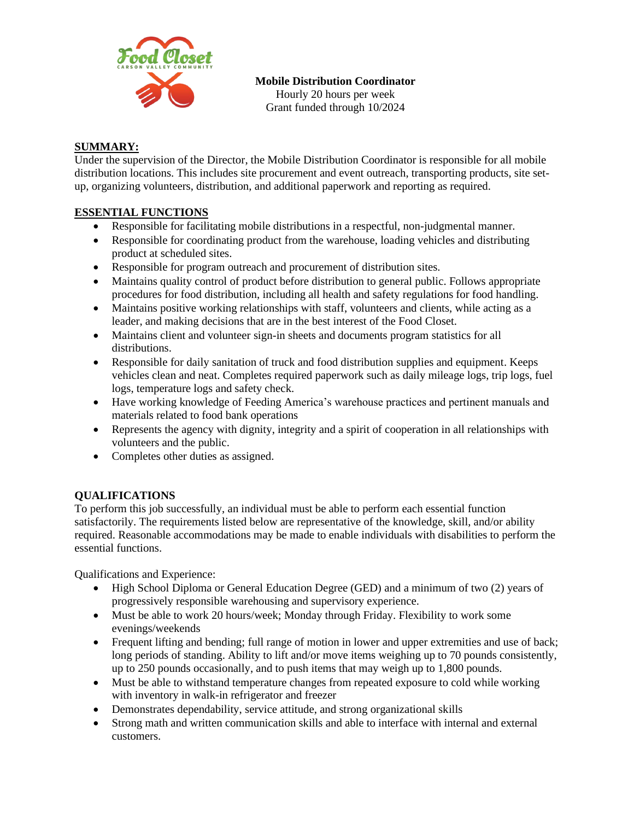

**Mobile Distribution Coordinator**

Hourly 20 hours per week Grant funded through 10/2024

## **SUMMARY:**

Under the supervision of the Director, the Mobile Distribution Coordinator is responsible for all mobile distribution locations. This includes site procurement and event outreach, transporting products, site setup, organizing volunteers, distribution, and additional paperwork and reporting as required.

# **ESSENTIAL FUNCTIONS**

- Responsible for facilitating mobile distributions in a respectful, non-judgmental manner.
- Responsible for coordinating product from the warehouse, loading vehicles and distributing product at scheduled sites.
- Responsible for program outreach and procurement of distribution sites.
- Maintains quality control of product before distribution to general public. Follows appropriate procedures for food distribution, including all health and safety regulations for food handling.
- Maintains positive working relationships with staff, volunteers and clients, while acting as a leader, and making decisions that are in the best interest of the Food Closet.
- Maintains client and volunteer sign-in sheets and documents program statistics for all distributions.
- Responsible for daily sanitation of truck and food distribution supplies and equipment. Keeps vehicles clean and neat. Completes required paperwork such as daily mileage logs, trip logs, fuel logs, temperature logs and safety check.
- Have working knowledge of Feeding America's warehouse practices and pertinent manuals and materials related to food bank operations
- Represents the agency with dignity, integrity and a spirit of cooperation in all relationships with volunteers and the public.
- Completes other duties as assigned.

## **QUALIFICATIONS**

To perform this job successfully, an individual must be able to perform each essential function satisfactorily. The requirements listed below are representative of the knowledge, skill, and/or ability required. Reasonable accommodations may be made to enable individuals with disabilities to perform the essential functions.

Qualifications and Experience:

- High School Diploma or General Education Degree (GED) and a minimum of two (2) years of progressively responsible warehousing and supervisory experience.
- Must be able to work 20 hours/week; Monday through Friday. Flexibility to work some evenings/weekends
- Frequent lifting and bending; full range of motion in lower and upper extremities and use of back; long periods of standing. Ability to lift and/or move items weighing up to 70 pounds consistently, up to 250 pounds occasionally, and to push items that may weigh up to 1,800 pounds.
- Must be able to withstand temperature changes from repeated exposure to cold while working with inventory in walk-in refrigerator and freezer
- Demonstrates dependability, service attitude, and strong organizational skills
- Strong math and written communication skills and able to interface with internal and external customers.